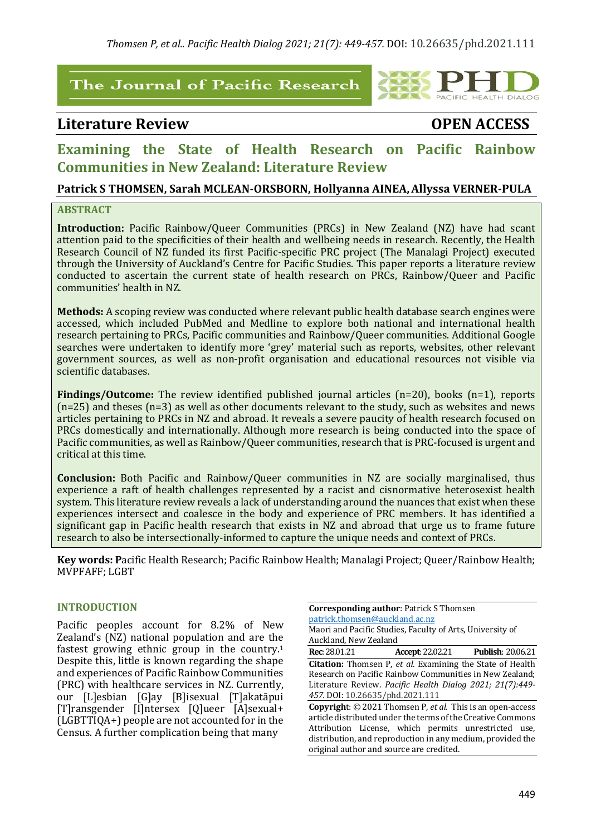# The Journal of Pacific Research

# Literature Review **Business COPEN** ACCESS



# **Examining the State of Health Research on Pacific Rainbow Communities in New Zealand: Literature Review**

# **Patrick S THOMSEN, Sarah MCLEAN-ORSBORN, Hollyanna AINEA,Allyssa VERNER-PULA**

### **ABSTRACT**

**Introduction:** Pacific Rainbow/Queer Communities (PRCs) in New Zealand (NZ) have had scant attention paid to the specificities of their health and wellbeing needs in research. Recently, the Health Research Council of NZ funded its first Pacific-specific PRC project (The Manalagi Project) executed through the University of Auckland's Centre for Pacific Studies. This paper reports a literature review conducted to ascertain the current state of health research on PRCs, Rainbow/Queer and Pacific communities' health in NZ.

**Methods:** A scoping review was conducted where relevant public health database search engines were accessed, which included PubMed and Medline to explore both national and international health research pertaining to PRCs, Pacific communities and Rainbow/Queer communities. Additional Google searches were undertaken to identify more 'grey' material such as reports, websites, other relevant government sources, as well as non-profit organisation and educational resources not visible via scientific databases.

**Findings/Outcome:** The review identified published journal articles (n=20), books (n=1), reports  $(n=25)$  and theses  $(n=3)$  as well as other documents relevant to the study, such as websites and news articles pertaining to PRCs in NZ and abroad. It reveals a severe paucity of health research focused on PRCs domestically and internationally. Although more research is being conducted into the space of Pacific communities, as well as Rainbow/Queer communities, research that is PRC-focused is urgent and critical at this time.

**Conclusion:** Both Pacific and Rainbow/Queer communities in NZ are socially marginalised, thus experience a raft of health challenges represented by a racist and cisnormative heterosexist health system. This literature review reveals a lack of understanding around the nuances that exist when these experiences intersect and coalesce in the body and experience of PRC members. It has identified a significant gap in Pacific health research that exists in NZ and abroad that urge us to frame future research to also be intersectionally-informed to capture the unique needs and context of PRCs.

**Key words: Pacific Health Research; Pacific Rainbow Health; Manalagi Project; Queer/Rainbow Health;** MVPFAFF; LGBT

#### **INTRODUCTION**

Pacific peoples account for 8.2% of New Zealand's (NZ) national population and are the fastest growing ethnic group in the country.<sup>1</sup> Despite this, little is known regarding the shape and experiences of Pacific Rainbow Communities (PRC) with healthcare services in NZ. Currently, our [L]esbian [G]ay [B]isexual [T]akatāpui [T]ransgender [I]ntersex [Q]ueer [A]sexual+  $(LGBTTIQA+)$  people are not accounted for in the Census. A further complication being that many

**Corresponding author: Patrick S Thomsen** patrick.thomsen@auckland.ac.nz Maori and Pacific Studies, Faculty of Arts, University of Auckland, New Zealand **Rec**: 28.01.21 **Accept**: 22.02.21 **Publish**: 20.06.21 **Citation:** Thomsen P, et al. Examining the State of Health Research on Pacific Rainbow Communities in New Zealand;

Literature Review. *Pacific Health Dialog 2021; 21(7):449-457.* DOI: 10.26635/phd.2021.111 **Copyright:** © 2021 Thomsen P, *et al.* This is an open-access article distributed under the terms of the Creative Commons Attribution License, which permits unrestricted use, distribution, and reproduction in any medium, provided the original author and source are credited.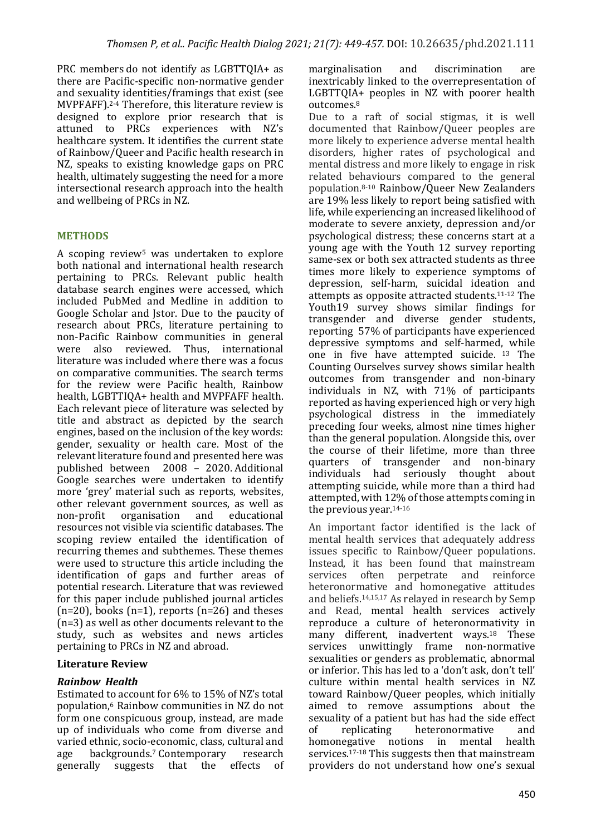PRC members do not identify as LGBTTQIA+ as there are Pacific-specific non-normative gender and sexuality identities/framings that exist (see MVPFAFF).<sup>2-4</sup> Therefore, this literature review is designed to explore prior research that is attuned to PRCs experiences with NZ's healthcare system. It identifies the current state of Rainbow/Queer and Pacific health research in NZ, speaks to existing knowledge gaps on PRC health, ultimately suggesting the need for a more intersectional research approach into the health and wellbeing of PRCs in NZ.

# **METHODS**

A scoping review<sup>5</sup> was undertaken to explore both national and international health research pertaining to PRCs. Relevant public health database search engines were accessed, which included PubMed and Medline in addition to Google Scholar and [stor. Due to the paucity of research about PRCs, literature pertaining to non-Pacific Rainbow communities in general were also reviewed. Thus, international literature was included where there was a focus on comparative communities. The search terms for the review were Pacific health, Rainbow health, LGBTTIQA+ health and MVPFAFF health. Each relevant piece of literature was selected by title and abstract as depicted by the search engines, based on the inclusion of the key words: gender, sexuality or health care. Most of the relevant literature found and presented here was published between 2008 - 2020. Additional Google searches were undertaken to identify more 'grey' material such as reports, websites, other relevant government sources, as well as non-profit organisation and educational resources not visible via scientific databases. The scoping review entailed the identification of recurring themes and subthemes. These themes were used to structure this article including the identification of gaps and further areas of potential research. Literature that was reviewed for this paper include published journal articles  $(n=20)$ , books  $(n=1)$ , reports  $(n=26)$  and theses  $(n=3)$  as well as other documents relevant to the study, such as websites and news articles pertaining to PRCs in NZ and abroad.

#### **Literature Review**

# *Rainbow Health*

Estimated to account for  $6\%$  to  $15\%$  of NZ's total population,<sup>6</sup> Rainbow communities in NZ do not form one conspicuous group, instead, are made up of individuals who come from diverse and varied ethnic, socio-economic, class, cultural and age backgrounds.<sup>7</sup> Contemporary research generally suggests that the effects of

marginalisation and discrimination are inextricably linked to the overrepresentation of  $LGBTTQIA+$  peoples in NZ with poorer health outcomes.8

Due to a raft of social stigmas, it is well documented that Rainbow/Queer peoples are more likely to experience adverse mental health disorders, higher rates of psychological and mental distress and more likely to engage in risk related behaviours compared to the general population.8-10 Rainbow/Queer New Zealanders are 19% less likely to report being satisfied with life, while experiencing an increased likelihood of moderate to severe anxiety, depression and/or psychological distress; these concerns start at a young age with the Youth 12 survey reporting same-sex or both sex attracted students as three times more likely to experience symptoms of depression, self-harm, suicidal ideation and attempts as opposite attracted students.<sup>11-12</sup> The Youth19 survey shows similar findings for transgender and diverse gender students, reporting 57% of participants have experienced depressive symptoms and self-harmed, while one in five have attempted suicide. <sup>13</sup> The Counting Ourselves survey shows similar health outcomes from transgender and non-binary individuals in NZ, with 71% of participants reported as having experienced high or very high psychological distress in the immediately preceding four weeks, almost nine times higher than the general population. Alongside this, over the course of their lifetime, more than three quarters of transgender and non-binary individuals had seriously thought about attempting suicide, while more than a third had attempted, with 12% of those attempts coming in the previous year.<sup>14-16</sup>

An important factor identified is the lack of mental health services that adequately address issues specific to Rainbow/Queer populations. Instead, it has been found that mainstream services often perpetrate and reinforce heteronormative and homonegative attitudes and beliefs.<sup>14,15,17</sup> As relayed in research by Semp and Read, mental health services actively reproduce a culture of heteronormativity in many different, inadvertent ways.<sup>18</sup> These services unwittingly frame non-normative sexualities or genders as problematic, abnormal or inferior. This has led to a 'don't ask, don't tell' culture within mental health services in NZ toward Rainbow/Oueer peoples, which initially aimed to remove assumptions about the sexuality of a patient but has had the side effect<br>of replicating heteronormative and of replicating heteronormative and homonegative notions in mental health services.<sup>17-18</sup> This suggests then that mainstream providers do not understand how one's sexual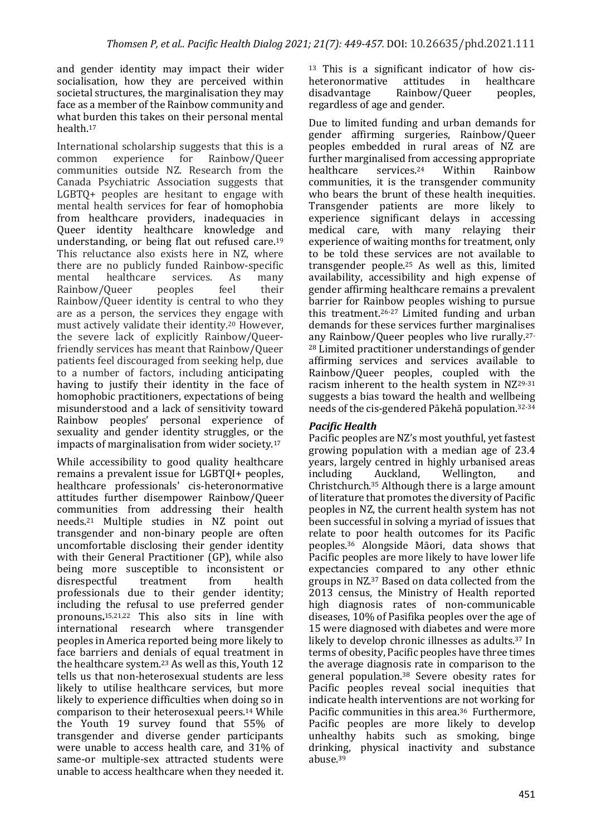and gender identity may impact their wider socialisation, how they are perceived within societal structures, the marginalisation they may face as a member of the Rainbow community and what burden this takes on their personal mental health.17

International scholarship suggests that this is a common experience for Rainbow/Queer communities outside NZ. Research from the Canada Psychiatric Association suggests that  $LGBTQ+$  peoples are hesitant to engage with mental health services for fear of homophobia from healthcare providers, inadequacies in Queer identity healthcare knowledge and understanding, or being flat out refused care.<sup>19</sup> This reluctance also exists here in NZ, where there are no publicly funded Rainbow-specific mental healthcare services. As many Rainbow/Oueer peoples feel their Rainbow/Queer identity is central to who they are as a person, the services they engage with must actively validate their identity.<sup>20</sup> However, the severe lack of explicitly Rainbow/Queerfriendly services has meant that Rainbow/Queer patients feel discouraged from seeking help, due to a number of factors, including anticipating having to justify their identity in the face of homophobic practitioners, expectations of being misunderstood and a lack of sensitivity toward Rainbow peoples' personal experience of sexuality and gender identity struggles, or the impacts of marginalisation from wider society.<sup>17</sup>

While accessibility to good quality healthcare remains a prevalent issue for LGBTQI+ peoples, healthcare professionals' cis-heteronormative attitudes further disempower Rainbow/Queer communities from addressing their health needs.<sup>21</sup> Multiple studies in NZ point out transgender and non-binary people are often uncomfortable disclosing their gender identity with their General Practitioner (GP), while also being more susceptible to inconsistent or disrespectful treatment from health professionals due to their gender identity; including the refusal to use preferred gender pronouns.<sup>15,21,22</sup> This also sits in line with international research where transgender peoples in America reported being more likely to face barriers and denials of equal treatment in the healthcare system.<sup>23</sup> As well as this, Youth  $12$ tells us that non-heterosexual students are less likely to utilise healthcare services, but more likely to experience difficulties when doing so in comparison to their heterosexual peers.<sup>14</sup> While the Youth 19 survey found that 55% of transgender and diverse gender participants were unable to access health care, and  $31\%$  of same-or multiple-sex attracted students were unable to access healthcare when they needed it.

 $13$  This is a significant indicator of how cisheteronormative attitudes in healthcare disadvantage Rainbow/Queer peoples, regardless of age and gender.

Due to limited funding and urban demands for gender affirming surgeries, Rainbow/Queer peoples embedded in rural areas of NZ are further marginalised from accessing appropriate healthcare services.<sup>24</sup> Within Rainbow communities, it is the transgender community who bears the brunt of these health inequities. Transgender patients are more likely to experience significant delays in accessing medical care, with many relaying their experience of waiting months for treatment, only to be told these services are not available to transgender people. $25$  As well as this, limited availability, accessibility and high expense of gender affirming healthcare remains a prevalent barrier for Rainbow peoples wishing to pursue this treatment.<sup>26-27</sup> Limited funding and urban demands for these services further marginalises any Rainbow/Queer peoples who live rurally.<sup>27-</sup> <sup>28</sup> Limited practitioner understandings of gender affirming services and services available to Rainbow/Queer peoples, coupled with the racism inherent to the health system in  $NZ^{29-31}$ suggests a bias toward the health and wellbeing needs of the cis-gendered Pākehā population.<sup>32-34</sup>

# **Pacific Health**

Pacific peoples are NZ's most youthful, yet fastest growing population with a median age of 23.4 years, largely centred in highly urbanised areas including Auckland, Wellington, and Christchurch.<sup>35</sup> Although there is a large amount of literature that promotes the diversity of Pacific peoples in NZ, the current health system has not been successful in solving a myriad of issues that relate to poor health outcomes for its Pacific peoples.<sup>36</sup> Alongside Māori, data shows that Pacific peoples are more likely to have lower life expectancies compared to any other ethnic groups in NZ.<sup>37</sup> Based on data collected from the 2013 census, the Ministry of Health reported high diagnosis rates of non-communicable diseases,  $10\%$  of Pasifika peoples over the age of 15 were diagnosed with diabetes and were more likely to develop chronic illnesses as adults.<sup>37</sup> In terms of obesity, Pacific peoples have three times the average diagnosis rate in comparison to the general population.<sup>38</sup> Severe obesity rates for Pacific peoples reveal social inequities that indicate health interventions are not working for Pacific communities in this area.<sup>36</sup> Furthermore, Pacific peoples are more likely to develop unhealthy habits such as smoking, binge drinking, physical inactivity and substance abuse.39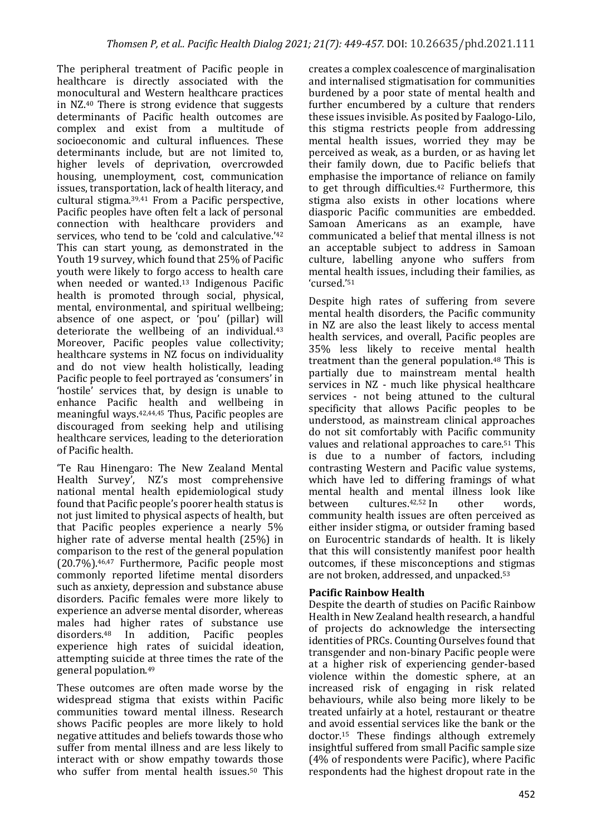The peripheral treatment of Pacific people in healthcare is directly associated with the monocultural and Western healthcare practices in  $NZ<sub>40</sub>$  There is strong evidence that suggests determinants of Pacific health outcomes are complex and exist from a multitude of socioeconomic and cultural influences. These determinants include, but are not limited to, higher levels of deprivation, overcrowded housing, unemployment, cost, communication issues, transportation, lack of health literacy, and cultural stigma. $39,41$  From a Pacific perspective, Pacific peoples have often felt a lack of personal connection with healthcare providers and services, who tend to be 'cold and calculative.'<sup>42</sup> This can start young, as demonstrated in the Youth 19 survey, which found that 25% of Pacific youth were likely to forgo access to health care when needed or wanted.<sup>13</sup> Indigenous Pacific health is promoted through social, physical, mental, environmental, and spiritual wellbeing; absence of one aspect, or 'pou' (pillar) will deteriorate the wellbeing of an individual. $43$ Moreover, Pacific peoples value collectivity; healthcare systems in NZ focus on individuality and do not view health holistically, leading Pacific people to feel portrayed as 'consumers' in 'hostile' services that, by design is unable to enhance Pacific health and wellbeing in meaningful ways. $42,44,45$  Thus, Pacific peoples are discouraged from seeking help and utilising healthcare services, leading to the deterioration of Pacific health.

'Te Rau Hinengaro: The New Zealand Mental Health Survey', NZ's most comprehensive national mental health epidemiological study found that Pacific people's poorer health status is not just limited to physical aspects of health, but that Pacific peoples experience a nearly  $5\%$ higher rate of adverse mental health  $(25%)$  in comparison to the rest of the general population  $(20.7\%)$ .<sup>46,47</sup> Furthermore, Pacific people most commonly reported lifetime mental disorders such as anxiety, depression and substance abuse disorders. Pacific females were more likely to experience an adverse mental disorder, whereas males had higher rates of substance use  $disorders.<sup>48</sup>$  In addition, Pacific peoples experience high rates of suicidal ideation, attempting suicide at three times the rate of the general population.<sup>49</sup>

These outcomes are often made worse by the widespread stigma that exists within Pacific communities toward mental illness. Research shows Pacific peoples are more likely to hold negative attitudes and beliefs towards those who suffer from mental illness and are less likely to interact with or show empathy towards those who suffer from mental health issues.<sup>50</sup> This

creates a complex coalescence of marginalisation and internalised stigmatisation for communities burdened by a poor state of mental health and further encumbered by a culture that renders these issues invisible. As posited by Faalogo-Lilo, this stigma restricts people from addressing mental health issues, worried they may be perceived as weak, as a burden, or as having let their family down, due to Pacific beliefs that emphasise the importance of reliance on family to get through difficulties.<sup>42</sup> Furthermore, this stigma also exists in other locations where diasporic Pacific communities are embedded. Samoan Americans as an example, have communicated a belief that mental illness is not an acceptable subject to address in Samoan culture, labelling anyone who suffers from mental health issues, including their families, as 'cursed.'51

Despite high rates of suffering from severe mental health disorders, the Pacific community in NZ are also the least likely to access mental health services, and overall, Pacific peoples are 35% less likely to receive mental health treatment than the general population. $48$  This is partially due to mainstream mental health services in NZ - much like physical healthcare services - not being attuned to the cultural specificity that allows Pacific peoples to be understood, as mainstream clinical approaches do not sit comfortably with Pacific community values and relational approaches to care.<sup>51</sup> This is due to a number of factors, including contrasting Western and Pacific value systems, which have led to differing framings of what mental health and mental illness look like between cultures.<sup>42,52</sup> In other words. community health issues are often perceived as either insider stigma, or outsider framing based on Eurocentric standards of health. It is likely that this will consistently manifest poor health outcomes, if these misconceptions and stigmas are not broken, addressed, and unpacked.<sup>53</sup>

# **Pacific Rainbow Health**

Despite the dearth of studies on Pacific Rainbow Health in New Zealand health research, a handful of projects do acknowledge the intersecting identities of PRCs. Counting Ourselves found that transgender and non-binary Pacific people were at a higher risk of experiencing gender-based violence within the domestic sphere, at an increased risk of engaging in risk related behaviours, while also being more likely to be treated unfairly at a hotel, restaurant or theatre and avoid essential services like the bank or the doctor.<sup>15</sup> These findings although extremely insightful suffered from small Pacific sample size  $(4%$  of respondents were Pacific), where Pacific respondents had the highest dropout rate in the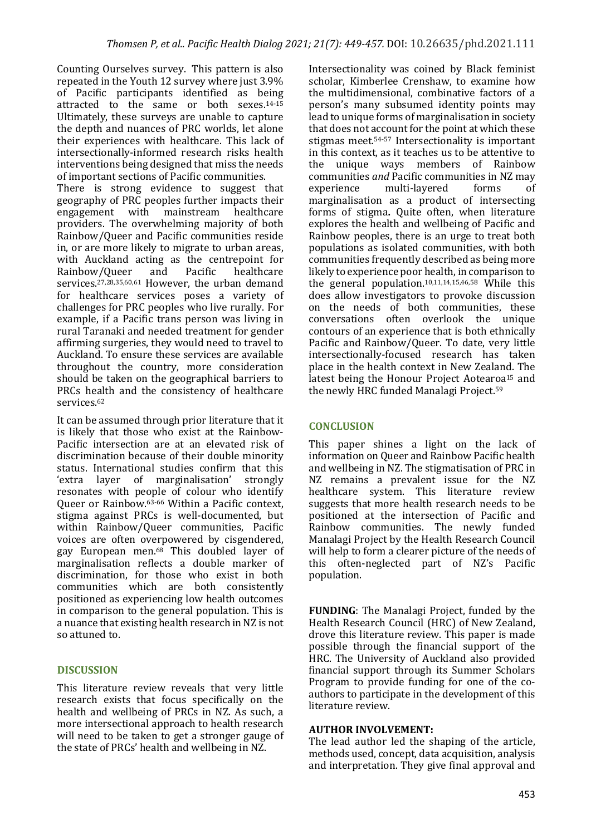Counting Ourselves survey. This pattern is also repeated in the Youth 12 survey where just 3.9% of Pacific participants identified as being attracted to the same or both sexes.<sup>14-15</sup> Ultimately, these surveys are unable to capture the depth and nuances of PRC worlds, let alone their experiences with healthcare. This lack of intersectionally-informed research risks health interventions being designed that miss the needs of important sections of Pacific communities. There is strong evidence to suggest that geography of PRC peoples further impacts their engagement with mainstream healthcare providers. The overwhelming majority of both Rainbow/Queer and Pacific communities reside in, or are more likely to migrate to urban areas, with Auckland acting as the centrepoint for Rainbow/Queer and Pacific healthcare services.<sup>27,28,35,60,61</sup> However, the urban demand for healthcare services poses a variety of challenges for PRC peoples who live rurally. For example, if a Pacific trans person was living in rural Taranaki and needed treatment for gender affirming surgeries, they would need to travel to Auckland. To ensure these services are available throughout the country, more consideration should be taken on the geographical barriers to PRCs health and the consistency of healthcare services.62

It can be assumed through prior literature that it is likely that those who exist at the Rainbow-Pacific intersection are at an elevated risk of discrimination because of their double minority status. International studies confirm that this 'extra layer of marginalisation' strongly resonates with people of colour who identify Queer or Rainbow.<sup>63-66</sup> Within a Pacific context, stigma against PRCs is well-documented, but within Rainbow/Queer communities, Pacific voices are often overpowered by cisgendered, gay European men.<sup>68</sup> This doubled layer of marginalisation reflects a double marker of discrimination, for those who exist in both communities which are both consistently positioned as experiencing low health outcomes in comparison to the general population. This is a nuance that existing health research in NZ is not so attuned to.

# **DISCUSSION**

This literature review reveals that very little research exists that focus specifically on the health and wellbeing of  $PRCs$  in NZ. As such, a more intersectional approach to health research will need to be taken to get a stronger gauge of the state of PRCs' health and wellbeing in NZ.

Intersectionality was coined by Black feminist scholar, Kimberlee Crenshaw, to examine how the multidimensional, combinative factors of a person's many subsumed identity points may lead to unique forms of marginalisation in society that does not account for the point at which these stigmas meet. $54-57$  Intersectionality is important in this context, as it teaches us to be attentive to the unique ways members of Rainbow communities *and* Pacific communities in NZ may experience multi-layered forms of marginalisation as a product of intersecting forms of stigma. Quite often, when literature explores the health and wellbeing of Pacific and Rainbow peoples, there is an urge to treat both populations as isolated communities, with both communities frequently described as being more likely to experience poor health, in comparison to the general population.<sup>10,11,14,15,46,58</sup> While this does allow investigators to provoke discussion on the needs of both communities, these conversations often overlook the unique contours of an experience that is both ethnically Pacific and Rainbow/Queer. To date, very little intersectionally-focused research has taken place in the health context in New Zealand. The latest being the Honour Project Aotearoa<sup>15</sup> and the newly HRC funded Manalagi Project.<sup>59</sup>

# **CONCLUSION**

This paper shines a light on the lack of information on Queer and Rainbow Pacific health and wellbeing in NZ. The stigmatisation of PRC in NZ remains a prevalent issue for the NZ healthcare system. This literature review suggests that more health research needs to be. positioned at the intersection of Pacific and Rainbow communities. The newly funded Manalagi Project by the Health Research Council will help to form a clearer picture of the needs of this often-neglected part of NZ's Pacific population.

**FUNDING**: The Manalagi Project, funded by the Health Research Council (HRC) of New Zealand, drove this literature review. This paper is made possible through the financial support of the HRC. The University of Auckland also provided financial support through its Summer Scholars Program to provide funding for one of the coauthors to participate in the development of this literature review.

#### **AUTHOR INVOLVEMENT:**

The lead author led the shaping of the article, methods used, concept, data acquisition, analysis and interpretation. They give final approval and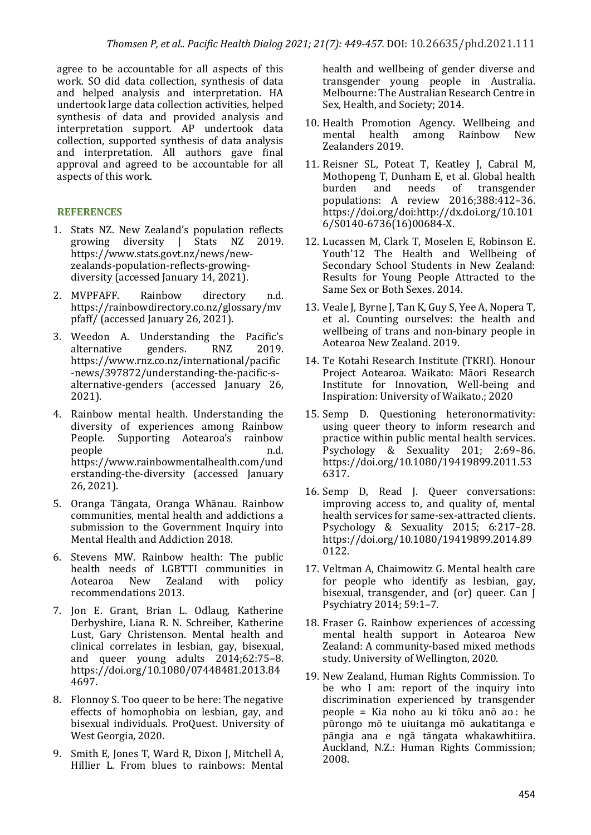agree to be accountable for all aspects of this work. SO did data collection, synthesis of data and helped analysis and interpretation. HA undertook large data collection activities, helped svnthesis of data and provided analysis and interpretation support. AP undertook data collection, supported synthesis of data analysis and interpretation. All authors gave final approval and agreed to be accountable for all aspects of this work.

# **REFERENCES**

- 1. Stats NZ. New Zealand's population reflects growing diversity | Stats NZ 2019. https://www.stats.govt.nz/news/newzealands-population-reflects-growingdiversity (accessed January 14, 2021).
- 2. MVPFAFF. Rainbow directory n.d. https://rainbowdirectory.co.nz/glossary/mv pfaff/ (accessed January 26, 2021).
- 3. Weedon A. Understanding the Pacific's alternative genders. RNZ 2019. https://www.rnz.co.nz/international/pacific -news/397872/understanding-the-pacific-salternative-genders (accessed January 26, 2021).
- 4. Rainbow mental health. Understanding the diversity of experiences among Rainbow People. Supporting Aotearoa's rainbow people n.d. https://www.rainbowmentalhealth.com/und erstanding-the-diversity (accessed January 26, 2021).
- 5. Oranga Tāngata, Oranga Whānau. Rainbow communities, mental health and addictions a submission to the Government Inquiry into Mental Health and Addiction 2018.
- 6. Stevens MW. Rainbow health: The public health needs of LGBTTI communities in<br>Aotearoa New Zealand with policy Aotearoa New Zealand with policy recommendations 2013.
- 7. Jon E. Grant, Brian L. Odlaug, Katherine Derbyshire, Liana R. N. Schreiber, Katherine Lust, Gary Christenson. Mental health and clinical correlates in lesbian, gay, bisexual, and queer voung adults  $2014:62:75-8$ . https://doi.org/10.1080/07448481.2013.84 4697.
- 8. Flonnoy S. Too queer to be here: The negative effects of homophobia on lesbian, gay, and bisexual individuals. ProQuest. University of West Georgia, 2020.
- 9. Smith E, Jones T, Ward R, Dixon J, Mitchell A, Hillier L. From blues to rainbows: Mental

health and wellbeing of gender diverse and transgender young people in Australia. Melbourne: The Australian Research Centre in Sex, Health, and Society; 2014.

- 10. Health Promotion Agency. Wellbeing and mental health among Rainbow New Zealanders 2019.
- 11. Reisner SL, Poteat T, Keatley J, Cabral M, Mothopeng T, Dunham E, et al. Global health burden and needs of transgender populations: A review 2016;388:412-36. https://doi.org/doi:http://dx.doi.org/10.101 6/S0140-6736(16)00684-X.
- 12. Lucassen M, Clark T, Moselen E, Robinson E. Youth'12 The Health and Wellbeing of Secondary School Students in New Zealand: Results for Young People Attracted to the Same Sex or Both Sexes. 2014.
- 13. Veale J, Byrne J, Tan K, Guy S, Yee A, Nopera T, et al. Counting ourselves: the health and wellbeing of trans and non-binary people in Aotearoa New Zealand. 2019.
- 14. Te Kotahi Research Institute (TKRI). Honour Project Aotearoa. Waikato: Māori Research Institute for Innovation, Well-being and Inspiration: University of Waikato.; 2020
- 15. Semp D. Questioning heteronormativity: using queer theory to inform research and practice within public mental health services. Psychology & Sexuality 201; 2:69-86. https://doi.org/10.1080/19419899.2011.53 6317.
- 16. Semp D, Read J. Queer conversations: improving access to, and quality of, mental health services for same-sex-attracted clients. Psychology & Sexuality 2015; 6:217-28. https://doi.org/10.1080/19419899.2014.89 0122.
- 17. Veltman A, Chaimowitz G. Mental health care for people who identify as lesbian, gay, bisexual, transgender, and (or) queer. Can I Psychiatry 2014: 59:1-7.
- 18. Fraser G. Rainbow experiences of accessing mental health support in Aotearoa New Zealand: A community-based mixed methods study. University of Wellington, 2020.
- 19. New Zealand, Human Rights Commission. To be who I am: report of the inquiry into discrimination experienced by transgender  $p =$ Kia noho au ki tōku anō ao $:$  he pūrongo mō te uiuitanga mō aukatitanga e pāngia ana e ngā tāngata whakawhitiira. Auckland, N.Z.: Human Rights Commission; 2008.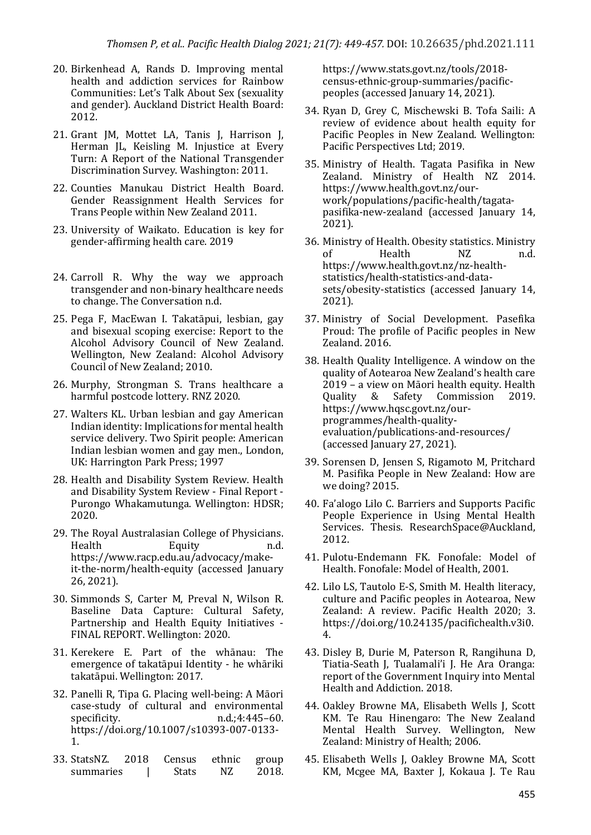- 20. Birkenhead A, Rands D. Improving mental health and addiction services for Rainbow Communities: Let's Talk About Sex (sexuality and gender). Auckland District Health Board: 2012.
- 21. Grant JM, Mottet LA, Tanis J, Harrison J, Herman JL, Keisling M. Injustice at Every Turn: A Report of the National Transgender Discrimination Survey. Washington: 2011.
- 22. Counties Manukau District Health Board. Gender Reassignment Health Services for Trans People within New Zealand 2011.
- 23. University of Waikato. Education is key for gender-affirming health care. 2019
- 24. Carroll R. Why the way we approach transgender and non-binary healthcare needs to change. The Conversation n.d.
- 25. Pega F, MacEwan I. Takatāpui, lesbian, gay and bisexual scoping exercise: Report to the Alcohol Advisory Council of New Zealand. Wellington, New Zealand: Alcohol Advisory Council of New Zealand; 2010.
- 26. Murphy, Strongman S. Trans healthcare a harmful postcode lottery. RNZ 2020.
- 27. Walters KL. Urban lesbian and gay American Indian identity: Implications for mental health service delivery. Two Spirit people: American Indian lesbian women and gay men., London, UK: Harrington Park Press; 1997
- 28. Health and Disability System Review. Health and Disability System Review - Final Report -Purongo Whakamutunga. Wellington: HDSR; 2020.
- 29. The Royal Australasian College of Physicians. Health Equity n.d. https://www.racp.edu.au/advocacy/makeit-the-norm/health-equity (accessed January 26, 2021).
- 30. Simmonds S, Carter M, Preval N, Wilson R. Baseline Data Capture: Cultural Safety, Partnership and Health Equity Initiatives -FINAL REPORT. Wellington: 2020.
- 31. Kerekere E. Part of the whānau: The emergence of takatāpui Identity - he whāriki takatāpui. Wellington: 2017.
- 32. Panelli R, Tipa G. Placing well-being: A Māori case-study of cultural and environmental specificity. n.d.;4:445–60. https://doi.org/10.1007/s10393-007-0133- 1.
- 33. StatsNZ. 2018 Census ethnic group summaries | Stats NZ 2018.

https://www.stats.govt.nz/tools/2018 census-ethnic-group-summaries/pacificpeoples (accessed January 14, 2021).

- 34. Ryan D, Grey C, Mischewski B. Tofa Saili: A review of evidence about health equity for Pacific Peoples in New Zealand. Wellington: Pacific Perspectives Ltd; 2019.
- 35. Ministry of Health. Tagata Pasifika in New Zealand. Ministry of Health NZ 2014. https://www.health.govt.nz/ourwork/populations/pacific-health/tagatapasifika-new-zealand (accessed January 14, 2021).
- 36. Ministry of Health. Obesity statistics. Ministry of Health NZ n.d. https://www.health.govt.nz/nz-healthstatistics/health-statistics-and-datasets/obesity-statistics (accessed January 14, 2021).
- 37. Ministry of Social Development. Pasefika Proud: The profile of Pacific peoples in New Zealand.  $2016$ .
- 38. Health Quality Intelligence. A window on the quality of Aotearoa New Zealand's health care 2019 - a view on Māori health equity. Health Quality & Safety Commission 2019. https://www.hqsc.govt.nz/ourprogrammes/health-qualityevaluation/publications-and-resources/ (accessed January 27, 2021).
- 39. Sorensen D, Jensen S, Rigamoto M, Pritchard M. Pasifika People in New Zealand: How are we doing? 2015.
- 40. Fa'alogo Lilo C. Barriers and Supports Pacific People Experience in Using Mental Health Services. Thesis. ResearchSpace@Auckland, 2012.
- 41. Pulotu-Endemann FK. Fonofale: Model of Health. Fonofale: Model of Health, 2001.
- 42. Lilo LS, Tautolo E-S, Smith M. Health literacy, culture and Pacific peoples in Aotearoa, New Zealand: A review. Pacific Health 2020; 3. https://doi.org/10.24135/pacifichealth.v3i0. 4.
- 43. Disley B, Durie M, Paterson R, Rangihuna D, Tiatia-Seath J, Tualamali'i J. He Ara Oranga: report of the Government Inquiry into Mental Health and Addiction. 2018.
- 44. Oakley Browne MA, Elisabeth Wells J, Scott KM. Te Rau Hinengaro: The New Zealand Mental Health Survey. Wellington, New Zealand: Ministry of Health; 2006.
- 45. Elisabeth Wells J, Oakley Browne MA, Scott KM, Mcgee MA, Baxter J, Kokaua J. Te Rau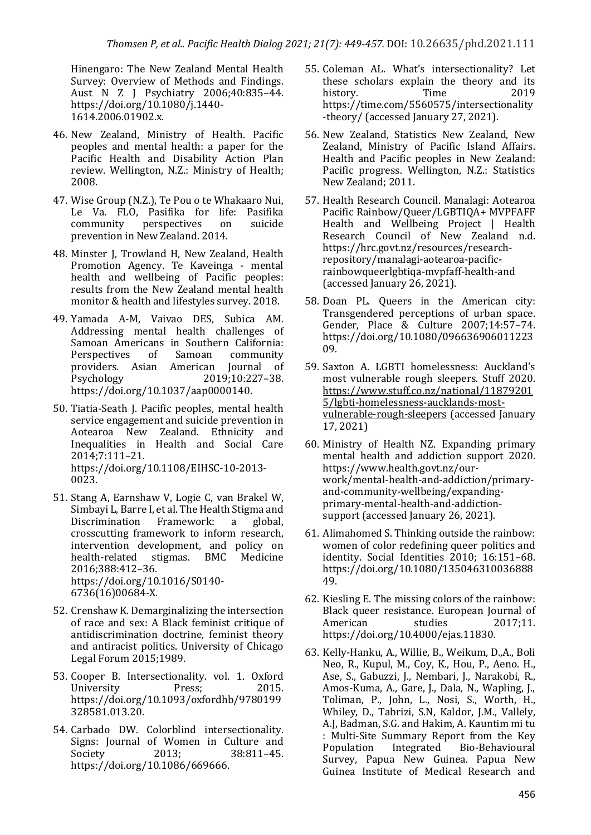Hinengaro: The New Zealand Mental Health Survey: Overview of Methods and Findings. Aust N Z J Psychiatry 2006;40:835-44. https://doi.org/10.1080/j.1440- 1614.2006.01902.x.

- 46. New Zealand, Ministry of Health. Pacific peoples and mental health: a paper for the Pacific Health and Disability Action Plan review. Wellington, N.Z.: Ministry of Health; 2008.
- 47. Wise Group (N.Z.), Te Pou o te Whakaaro Nui, Le Va. FLO, Pasifika for life: Pasifika community perspectives on suicide prevention in New Zealand. 2014.
- 48. Minster J, Trowland H, New Zealand, Health Promotion Agency. Te Kaveinga - mental health and wellbeing of Pacific peoples: results from the New Zealand mental health monitor & health and lifestyles survey. 2018.
- 49. Yamada A-M, Vaivao DES, Subica AM. Addressing mental health challenges of Samoan Americans in Southern California: Perspectives of Samoan community providers. Asian American Journal of Psychology 2019;10:227–38. https://doi.org/10.1037/aap0000140.
- 50. Tiatia-Seath J. Pacific peoples, mental health service engagement and suicide prevention in Aotearoa New Zealand. Ethnicity and Inequalities in Health and Social Care 2014;7:111–21. https://doi.org/10.1108/EIHSC-10-2013- 0023.
- 51. Stang A, Earnshaw V, Logie C, van Brakel W, Simbayi L, Barre I, et al. The Health Stigma and Discrimination Framework: a global, crosscutting framework to inform research, intervention development, and policy on health-related stigmas. BMC Medicine 2016;388:412–36. https://doi.org/10.1016/S0140- 6736(16)00684-X.
- 52. Crenshaw K. Demarginalizing the intersection of race and sex:  $A$  Black feminist critique of antidiscrimination doctrine, feminist theory and antiracist politics. University of Chicago Legal Forum  $2015:1989$ .
- 53. Cooper B. Intersectionality. vol. 1. Oxford University Press: 2015. https://doi.org/10.1093/oxfordhb/9780199 328581.013.20.
- 54. Carbado DW. Colorblind intersectionality. Signs: Journal of Women in Culture and Society 2013: 38:811-45. https://doi.org/10.1086/669666.
- 55. Coleman AL. What's intersectionality? Let these scholars explain the theory and its history. Time 2019 https://time.com/5560575/intersectionality -theory/ (accessed January 27, 2021).
- 56. New Zealand, Statistics New Zealand, New Zealand, Ministry of Pacific Island Affairs. Health and Pacific peoples in New Zealand: Pacific progress. Wellington, N.Z.: Statistics New Zealand; 2011.
- 57. Health Research Council. Manalagi: Aotearoa Pacific Rainbow/Queer/LGBTIQA+ MVPFAFF Health and Wellbeing Project | Health Research Council of New Zealand n.d. https://hrc.govt.nz/resources/researchrepository/manalagi-aotearoa-pacificrainbowqueerlgbtiqa-mvpfaff-health-and (accessed January 26, 2021).
- 58. Doan PL. Queers in the American city: Transgendered perceptions of urban space. Gender, Place & Culture 2007;14:57-74. https://doi.org/10.1080/096636906011223 09.
- 59. Saxton A. LGBTI homelessness: Auckland's most vulnerable rough sleepers. Stuff 2020. https://www.stuff.co.nz/national/11879201 5/lgbti-homelessness-aucklands-mostvulnerable-rough-sleepers (accessed January 17, 2021)
- 60. Ministry of Health NZ. Expanding primary mental health and addiction support 2020. https://www.health.govt.nz/ourwork/mental-health-and-addiction/primaryand-community-wellbeing/expandingprimary-mental-health-and-addictionsupport (accessed January 26, 2021).
- 61. Alimahomed S. Thinking outside the rainbow: women of color redefining queer politics and identity. Social Identities 2010; 16:151-68. https://doi.org/10.1080/135046310036888 49.
- 62. Kiesling E. The missing colors of the rainbow: Black queer resistance. European Journal of American studies 2017:11. https://doi.org/10.4000/ejas.11830.
- 63. Kelly-Hanku, A., Willie, B., Weikum, D.,A., Boli Neo, R., Kupul, M., Coy, K., Hou, P., Aeno. H., Ase, S., Gabuzzi, J., Nembari, J., Narakobi, R., Amos-Kuma, A., Gare, J., Dala, N., Wapling, J., Toliman, P., John, L., Nosi, S., Worth, H., Whiley, D., Tabrizi, S.N. Kaldor, I.M., Vallely, A.J. Badman, S.G. and Hakim, A. Kauntim mi tu : Multi-Site Summary Report from the Key<br>Population Integrated Bio-Behavioural Population Integrated Bio-Behavioural Survey, Papua New Guinea. Papua New Guinea Institute of Medical Research and